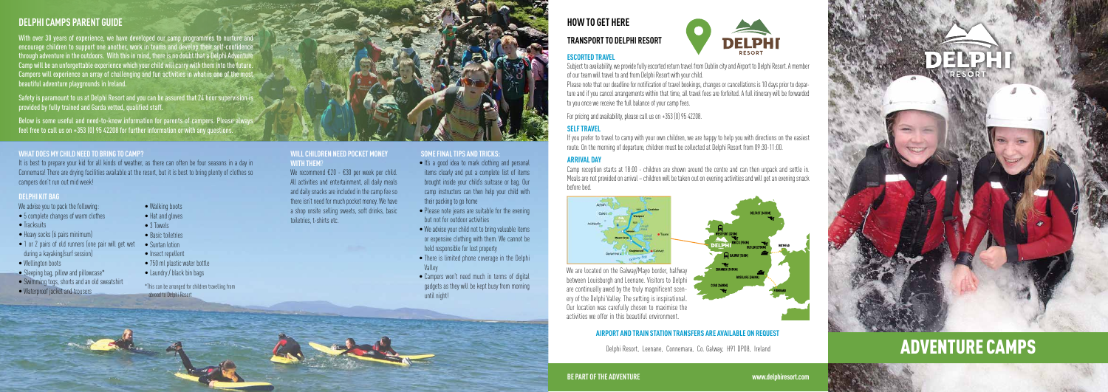### **What does my child need to bring to camp?**

It is best to prepare your kid for all kinds of weather, as there can often be four seasons in a day in Connemara! There are drying facilities available at the resort, but it is best to bring plenty of clothes so campers don't run out mid week!

### **Will children need pocket money with them**?

We recommend €20 - €30 per week per child. All activities and entertainment, all daily meals and daily snacks are included in the camp fee so there isn't need for much pocket money. We have a shop onsite selling sweets, soft drinks, basic toiletries, t-shirts etc.

## **Delphi Camps Parent Guide**

Safety is paramount to us at Delphi Resort and you can be assured that 24 hour supervision provided by fully trained and Garda vetted, qualified staff.

With over 30 years of experience, we have developed our camp programmes to nurture and encourage children to support one another, work in teams and develop their self-confidence through adventure in the outdoors. With this in mind, there is no doubt that a Delphi Adventure Camp will be an unforgettable experience which your child will carry with them into the future Campers will experience an array of challenging and fun activities in what is one of the most beautiful adventure playgrounds in Ireland.

Below is some useful and need-to-know information for parents of campers. Please always feel free to call us on +353 (0) 95 42208 for further information or with any questions.

# **How to get here**

## **Transport to Delphi Resort**





### Subject to availability, we provide fully escorted return travel from Dublin city and Airport to Delphi Resort. A member of our team will travel to and from Delphi Resort with your child.

Please note that our deadline for notification of travel bookings, changes or cancellations is 10 days prior to departure and if you cancel arrangements within that time, all travel fees are forfeited. A full itinerary will be forwarded to you once we receive the full balance of your camp fees.

- It's a good idea to mark clothing and personal items clearly and put a complete list of items brought inside your child's suitcase or bag. Our camp instructors can then help your child with their packing to go home
- Please note jeans are suitable for the evening but not for outdoor activities
- $\bullet$  We advise your child not to bring valuable items or expensive clothing with them. We cannot be held responsible for lost property
- There is limited phone coverage in the Delphi Valley
- Campers won't need much in terms of digital gadgets as they will be kept busy from morning until night!

For pricing and availability, please call us on +353 (0) 95 42208.

## **Self Travel**

If you prefer to travel to camp with your own children, we are happy to help you with directions on the easiest route. On the morning of departure, children must be collected at Delphi Resort from 09:30-11:00.

## **Arrival day**

Camp reception starts at 18:00 - children are shown around the centre and can then unpack and settle in. Meals are not provided on arrival – children will be taken out on evening activities and will get an evening snack before bed.

# adventure camps





activities we offer in this beautiful environment.

### **AIRPORT AND TRAIN STATION TRANSFERS ARE AVAILABLE ON REQUEST**

**BE PART OFTHE ADVENTURE www.delphiresort.com**

### **Delphi Kit Bag**

We advise you to pack the following:

- 5 complete changes of warm clothes
- Tracksuits
- Heavy socks (6 pairs minimum)
- 1 or 2 pairs of old runners (one pair will get wet during a kayaking/surf session)
- Wellington boots
- $\bullet$  Sleeping bag, pillow and pillowcase $^*$
- Swimming togs, shorts and an old sweatshirt
- Waterproof jacket and trousers
- Walking boots
- Hat and gloves
- 3 Towels
- Basic toiletries
- Suntan lotion
- Insect repellent
- $\bullet$  750 ml plastic water bottle
- Laundry / black bin bags

### **Some final tips and tricks:**

\*This can be arranged for children travelling from abroad to Delphi Resort



Delphi Resort, Leenane, Connemara, Co. Galway, H91 DP08, Ireland